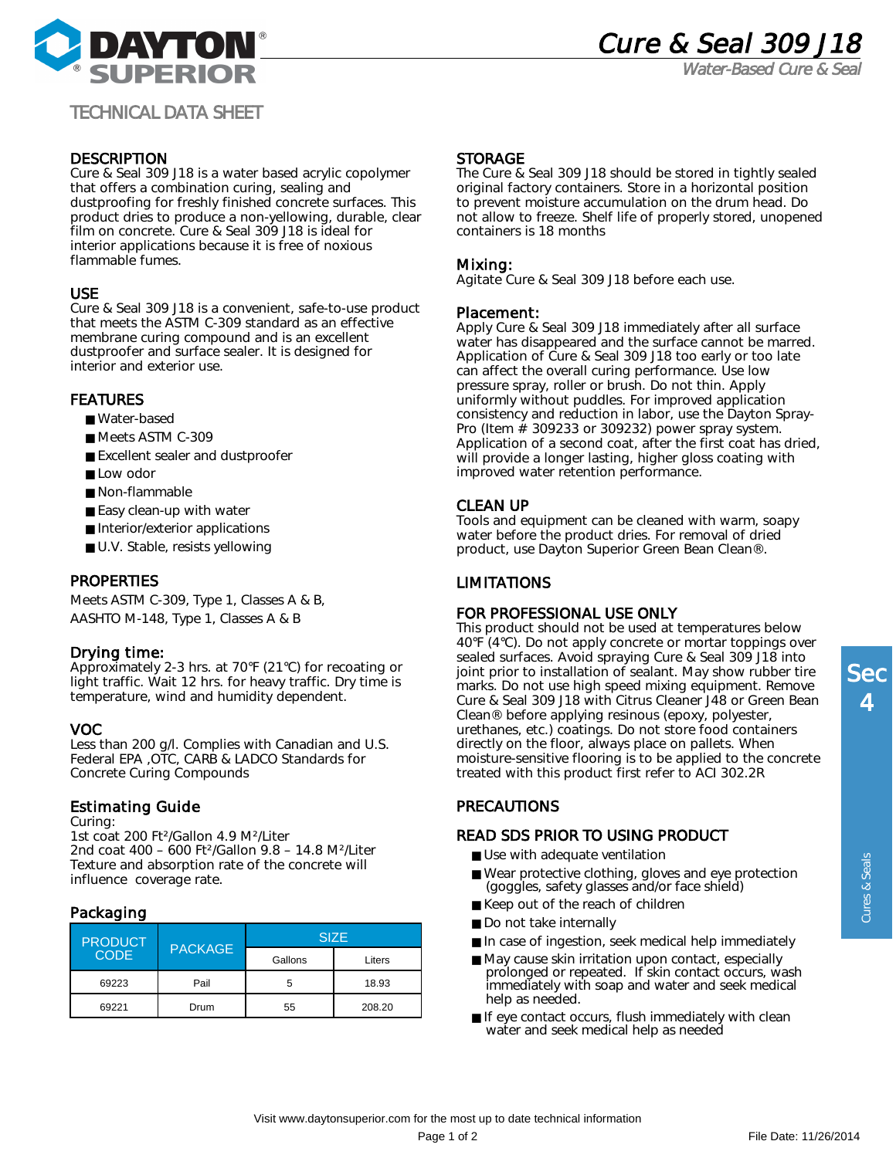

Water-Based Cure & Seal

# TECHNICAL DATA SHEET

## **DESCRIPTION**

Cure & Seal 309 J18 is a water based acrylic copolymer that offers a combination curing, sealing and dustproofing for freshly finished concrete surfaces. This product dries to produce a non-yellowing, durable, clear film on concrete. Cure & Seal 309 J18 is ideal for interior applications because it is free of noxious flammable fumes.

### USE

Cure & Seal 309 J18 is a convenient, safe-to-use product that meets the ASTM C-309 standard as an effective membrane curing compound and is an excellent dustproofer and surface sealer. It is designed for interior and exterior use.

### FEATURES

- Water-based
- Meets ASTM C-309
- Excellent sealer and dustproofer
- Low odor
- Non-flammable
- Easy clean-up with water
- Interior/exterior applications
- U.V. Stable, resists yellowing

### PROPERTIES

Meets ASTM C-309, Type 1, Classes A & B, AASHTO M-148, Type 1, Classes A & B

### Drying time:

Approximately 2-3 hrs. at 70°F (21°C) for recoating or light traffic. Wait 12 hrs. for heavy traffic. Dry time is temperature, wind and humidity dependent.

#### VOC

Less than 200 g/l. Complies with Canadian and U.S. Federal EPA ,OTC, CARB & LADCO Standards for Concrete Curing Compounds

### Estimating Guide

Curing:

1st coat 200 Ft²/Gallon 4.9 M²/Liter 2nd coat 400 – 600 Ft²/Gallon 9.8 – 14.8 M²/Liter Texture and absorption rate of the concrete will influence coverage rate.

### Packaging

| <b>PRODUCT</b><br><b>CODE</b> | <b>PACKAGE</b> | <b>SIZE</b> |        |
|-------------------------------|----------------|-------------|--------|
|                               |                | Gallons     | Liters |
| 69223                         | Pail           | 5           | 18.93  |
| 69221                         | Drum           | 55          | 208.20 |

### **STORAGE**

The Cure & Seal 309 J18 should be stored in tightly sealed original factory containers. Store in a horizontal position to prevent moisture accumulation on the drum head. Do not allow to freeze. Shelf life of properly stored, unopened containers is 18 months

### Mixing:

Agitate Cure & Seal 309 J18 before each use.

#### Placement:

Apply Cure & Seal 309 J18 immediately after all surface water has disappeared and the surface cannot be marred. Application of Cure & Seal 309 J18 too early or too late can affect the overall curing performance. Use low pressure spray, roller or brush. Do not thin. Apply uniformly without puddles. For improved application consistency and reduction in labor, use the Dayton Spray-Pro (Item  $\frac{3}{4}$  309233 or 309232) power spray system. Application of a second coat, after the first coat has dried, will provide a longer lasting, higher gloss coating with improved water retention performance.

### CLEAN UP

Tools and equipment can be cleaned with warm, soapy water before the product dries. For removal of dried product, use Dayton Superior Green Bean Clean®.

### LIMITATIONS

#### FOR PROFESSIONAL USE ONLY

This product should not be used at temperatures below 40°F (4°C). Do not apply concrete or mortar toppings over sealed surfaces. Avoid spraying Cure & Seal 309 J18 into joint prior to installation of sealant. May show rubber tire marks. Do not use high speed mixing equipment. Remove Cure & Seal 309 J18 with Citrus Cleaner J48 or Green Bean Clean® before applying resinous (epoxy, polyester, urethanes, etc.) coatings. Do not store food containers directly on the floor, always place on pallets. When moisture-sensitive flooring is to be applied to the concrete treated with this product first refer to ACI 302.2R

# PRECAUTIONS

## READ SDS PRIOR TO USING PRODUCT

- Use with adequate ventilation
- Wear protective clothing, gloves and eye protection (goggles, safety glasses and/or face shield)
- Keep out of the reach of children
- Do not take internally
- In case of ingestion, seek medical help immediately
- May cause skin irritation upon contact, especially prolonged or repeated. If skin contact occurs, wash immediately with soap and water and seek medical help as needed.
- If eye contact occurs, flush immediately with clean water and seek medical help as needed